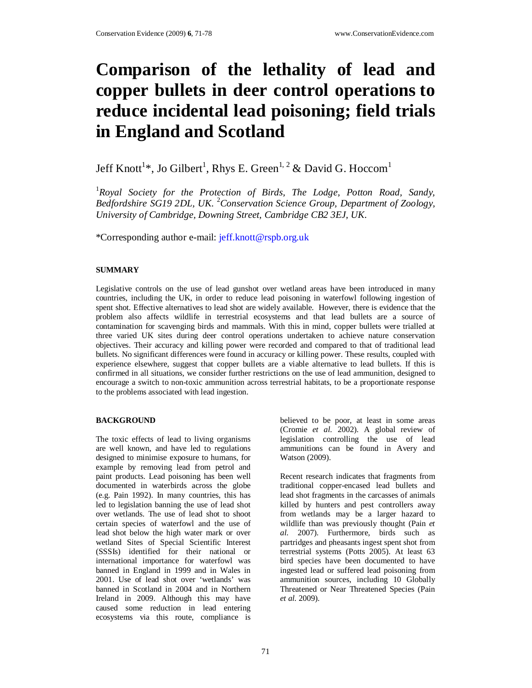# **Comparison of the lethality of lead and copper bullets in deer control operations to reduce incidental lead poisoning; field trials in England and Scotland**

# Jeff Knott<sup>1</sup>\*, Jo Gilbert<sup>1</sup>, Rhys E. Green<sup>1, 2</sup> & David G. Hoccom<sup>1</sup>

<sup>1</sup>*Royal Society for the Protection of Birds, The Lodge, Potton Road, Sandy, Bedfordshire SG19 2DL, UK*. <sup>2</sup>*Conservation Science Group, Department of Zoology, University of Cambridge, Downing Street, Cambridge CB2 3EJ, UK*.

\*Corresponding author e-mail: jeff.knott@rspb.org.uk

### **SUMMARY**

Legislative controls on the use of lead gunshot over wetland areas have been introduced in many countries, including the UK, in order to reduce lead poisoning in waterfowl following ingestion of spent shot. Effective alternatives to lead shot are widely available. However, there is evidence that the problem also affects wildlife in terrestrial ecosystems and that lead bullets are a source of contamination for scavenging birds and mammals. With this in mind, copper bullets were trialled at three varied UK sites during deer control operations undertaken to achieve nature conservation objectives. Their accuracy and killing power were recorded and compared to that of traditional lead bullets. No significant differences were found in accuracy or killing power. These results, coupled with experience elsewhere, suggest that copper bullets are a viable alternative to lead bullets. If this is confirmed in all situations, we consider further restrictions on the use of lead ammunition, designed to encourage a switch to non-toxic ammunition across terrestrial habitats, to be a proportionate response to the problems associated with lead ingestion.

#### **BACKGROUND**

The toxic effects of lead to living organisms are well known, and have led to regulations designed to minimise exposure to humans, for example by removing lead from petrol and paint products. Lead poisoning has been well documented in waterbirds across the globe (e.g. Pain 1992). In many countries, this has led to legislation banning the use of lead shot over wetlands. The use of lead shot to shoot certain species of waterfowl and the use of lead shot below the high water mark or over wetland Sites of Special Scientific Interest (SSSIs) identified for their national or international importance for waterfowl was banned in England in 1999 and in Wales in 2001. Use of lead shot over 'wetlands' was banned in Scotland in 2004 and in Northern Ireland in 2009. Although this may have caused some reduction in lead entering ecosystems via this route, compliance is

believed to be poor, at least in some areas (Cromie *et al.* 2002). A global review of legislation controlling the use of lead ammunitions can be found in Avery and Watson (2009).

Recent research indicates that fragments from traditional copper-encased lead bullets and lead shot fragments in the carcasses of animals killed by hunters and pest controllers away from wetlands may be a larger hazard to wildlife than was previously thought (Pain *et al.* 2007). Furthermore, birds such as partridges and pheasants ingest spent shot from terrestrial systems (Potts 2005). At least 63 bird species have been documented to have ingested lead or suffered lead poisoning from ammunition sources, including 10 Globally Threatened or Near Threatened Species (Pain *et al.* 2009).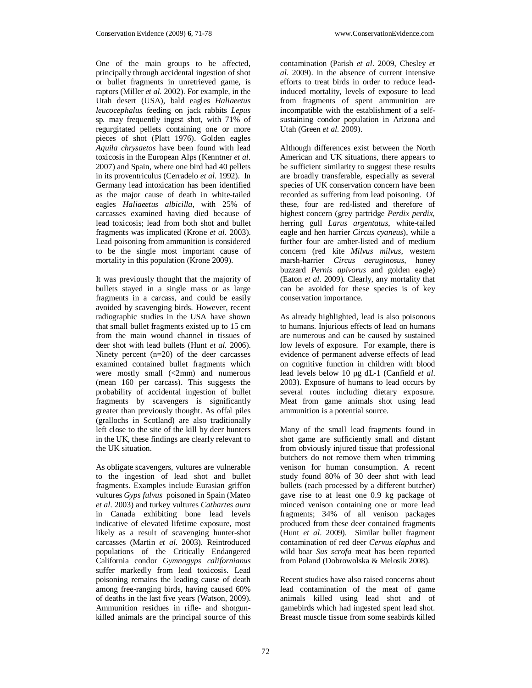One of the main groups to be affected, principally through accidental ingestion of shot or bullet fragments in unretrieved game, is raptors (Miller *et al.* 2002). For example, in the Utah desert (USA), bald eagles *Haliaeetus leucocephalus* feeding on jack rabbits *Lepus* sp. may frequently ingest shot, with 71% of regurgitated pellets containing one or more pieces of shot (Platt 1976). Golden eagles *Aquila chrysaetos* have been found with lead toxicosis in the European Alps (Kenntner *et al.* 2007) and Spain, where one bird had 40 pellets in its proventriculus (Cerradelo *et al.* 1992). In Germany lead intoxication has been identified as the major cause of death in white-tailed eagles *Haliaeetus albicilla*, with 25% of carcasses examined having died because of lead toxicosis; lead from both shot and bullet fragments was implicated (Krone *et al.* 2003). Lead poisoning from ammunition is considered to be the single most important cause of mortality in this population (Krone 2009).

It was previously thought that the majority of bullets stayed in a single mass or as large fragments in a carcass, and could be easily avoided by scavenging birds. However, recent radiographic studies in the USA have shown that small bullet fragments existed up to 15 cm from the main wound channel in tissues of deer shot with lead bullets (Hunt *et al*. 2006). Ninety percent (n=20) of the deer carcasses examined contained bullet fragments which were mostly small (<2mm) and numerous (mean 160 per carcass). This suggests the probability of accidental ingestion of bullet fragments by scavengers is significantly greater than previously thought. As offal piles (grallochs in Scotland) are also traditionally left close to the site of the kill by deer hunters in the UK, these findings are clearly relevant to the UK situation.

As obligate scavengers, vultures are vulnerable to the ingestion of lead shot and bullet fragments. Examples include Eurasian griffon vultures *Gyps fulvus* poisoned in Spain (Mateo *et al*. 2003) and turkey vultures *Cathartes aura* in Canada exhibiting bone lead levels indicative of elevated lifetime exposure, most likely as a result of scavenging hunter-shot carcasses (Martin *et al*. 2003). Reintroduced populations of the Critically Endangered California condor *Gymnogyps californianus* suffer markedly from lead toxicosis. Lead poisoning remains the leading cause of death among free-ranging birds, having caused 60% of deaths in the last five years (Watson, 2009). Ammunition residues in rifle- and shotgunkilled animals are the principal source of this

contamination (Parish *et al*. 2009, Chesley *et al*. 2009). In the absence of current intensive efforts to treat birds in order to reduce leadinduced mortality, levels of exposure to lead from fragments of spent ammunition are incompatible with the establishment of a selfsustaining condor population in Arizona and Utah (Green *et al.* 2009).

Although differences exist between the North American and UK situations, there appears to be sufficient similarity to suggest these results are broadly transferable, especially as several species of UK conservation concern have been recorded as suffering from lead poisoning. Of these, four are red-listed and therefore of highest concern (grey partridge *Perdix perdix*, herring gull *Larus argentatus*, white-tailed eagle and hen harrier *Circus cyaneus*), while a further four are amber-listed and of medium concern (red kite *Milvus milvus*, western marsh-harrier *Circus aeruginosus*, honey buzzard *Pernis apivorus* and golden eagle) (Eaton *et al*. 2009). Clearly, any mortality that can be avoided for these species is of key conservation importance.

As already highlighted, lead is also poisonous to humans. Injurious effects of lead on humans are numerous and can be caused by sustained low levels of exposure. For example, there is evidence of permanent adverse effects of lead on cognitive function in children with blood lead levels below 10 µg dL-1 (Canfield *et al*. 2003). Exposure of humans to lead occurs by several routes including dietary exposure. Meat from game animals shot using lead ammunition is a potential source.

Many of the small lead fragments found in shot game are sufficiently small and distant from obviously injured tissue that professional butchers do not remove them when trimming venison for human consumption. A recent study found 80% of 30 deer shot with lead bullets (each processed by a different butcher) gave rise to at least one 0.9 kg package of minced venison containing one or more lead fragments; 34% of all venison packages produced from these deer contained fragments (Hunt *et al*. 2009). Similar bullet fragment contamination of red deer *Cervus elaphus* and wild boar *Sus scrofa* meat has been reported from Poland (Dobrowolska & Melosik 2008).

Recent studies have also raised concerns about lead contamination of the meat of game animals killed using lead shot and of gamebirds which had ingested spent lead shot. Breast muscle tissue from some seabirds killed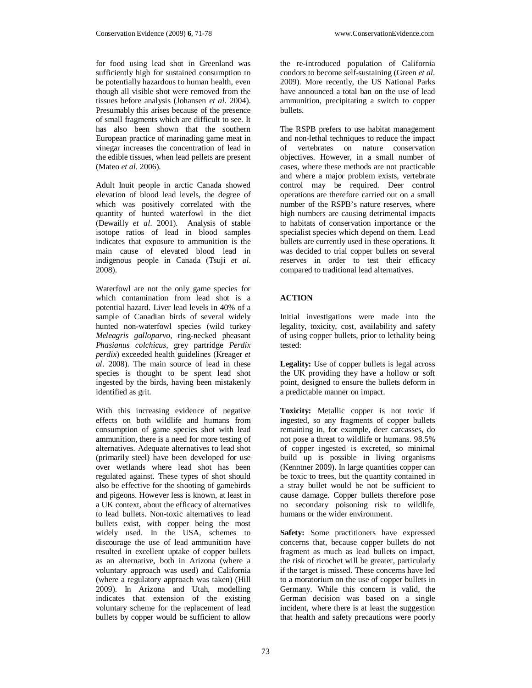for food using lead shot in Greenland was sufficiently high for sustained consumption to be potentially hazardous to human health, even though all visible shot were removed from the tissues before analysis (Johansen *et al*. 2004). Presumably this arises because of the presence of small fragments which are difficult to see. It has also been shown that the southern European practice of marinading game meat in vinegar increases the concentration of lead in the edible tissues, when lead pellets are present (Mateo *et al.* 2006).

Adult Inuit people in arctic Canada showed elevation of blood lead levels, the degree of which was positively correlated with the quantity of hunted waterfowl in the diet (Dewailly *et al*. 2001). Analysis of stable isotope ratios of lead in blood samples indicates that exposure to ammunition is the main cause of elevated blood lead in indigenous people in Canada (Tsuji *et al*. 2008).

Waterfowl are not the only game species for which contamination from lead shot is a potential hazard. Liver lead levels in 40% of a sample of Canadian birds of several widely hunted non-waterfowl species (wild turkey *Meleagris galloparvo*, ring-necked pheasant *Phasianus colchicus*, grey partridge *Perdix perdix*) exceeded health guidelines (Kreager *et al*. 2008). The main source of lead in these species is thought to be spent lead shot ingested by the birds, having been mistakenly identified as grit.

With this increasing evidence of negative effects on both wildlife and humans from consumption of game species shot with lead ammunition, there is a need for more testing of alternatives. Adequate alternatives to lead shot (primarily steel) have been developed for use over wetlands where lead shot has been regulated against. These types of shot should also be effective for the shooting of gamebirds and pigeons. However less is known, at least in a UK context, about the efficacy of alternatives to lead bullets. Non-toxic alternatives to lead bullets exist, with copper being the most widely used. In the USA, schemes to discourage the use of lead ammunition have resulted in excellent uptake of copper bullets as an alternative, both in Arizona (where a voluntary approach was used) and California (where a regulatory approach was taken) (Hill 2009). In Arizona and Utah, modelling indicates that extension of the existing voluntary scheme for the replacement of lead bullets by copper would be sufficient to allow

the re-introduced population of California condors to become self-sustaining (Green *et al*. 2009). More recently, the US National Parks have announced a total ban on the use of lead ammunition, precipitating a switch to copper bullets.

The RSPB prefers to use habitat management and non-lethal techniques to reduce the impact of vertebrates on nature conservation objectives. However, in a small number of cases, where these methods are not practicable and where a major problem exists, vertebrate control may be required. Deer control operations are therefore carried out on a small number of the RSPB's nature reserves, where high numbers are causing detrimental impacts to habitats of conservation importance or the specialist species which depend on them. Lead bullets are currently used in these operations. It was decided to trial copper bullets on several reserves in order to test their efficacy compared to traditional lead alternatives.

## **ACTION**

Initial investigations were made into the legality, toxicity, cost, availability and safety of using copper bullets, prior to lethality being tested:

**Legality:** Use of copper bullets is legal across the UK providing they have a hollow or soft point, designed to ensure the bullets deform in a predictable manner on impact.

**Toxicity:** Metallic copper is not toxic if ingested, so any fragments of copper bullets remaining in, for example, deer carcasses, do not pose a threat to wildlife or humans. 98.5% of copper ingested is excreted, so minimal build up is possible in living organisms (Kenntner 2009). In large quantities copper can be toxic to trees, but the quantity contained in a stray bullet would be not be sufficient to cause damage. Copper bullets therefore pose no secondary poisoning risk to wildlife, humans or the wider environment.

**Safety:** Some practitioners have expressed concerns that, because copper bullets do not fragment as much as lead bullets on impact, the risk of ricochet will be greater, particularly if the target is missed. These concerns have led to a moratorium on the use of copper bullets in Germany. While this concern is valid, the German decision was based on a single incident, where there is at least the suggestion that health and safety precautions were poorly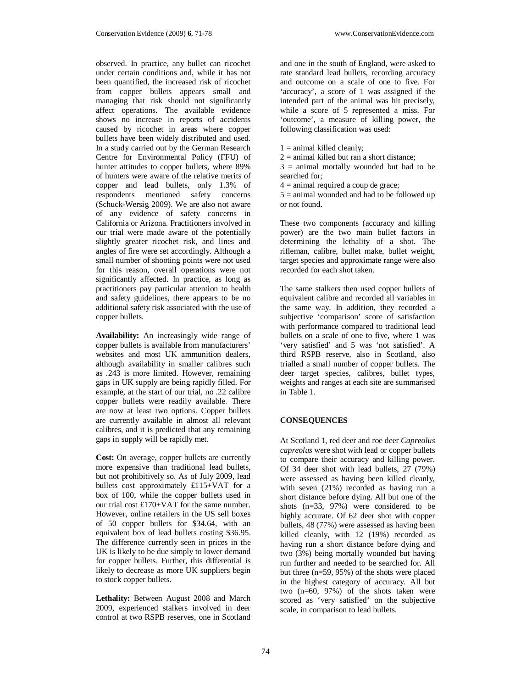observed. In practice, any bullet can ricochet under certain conditions and, while it has not been quantified, the increased risk of ricochet from copper bullets appears small and managing that risk should not significantly affect operations. The available evidence shows no increase in reports of accidents caused by ricochet in areas where copper bullets have been widely distributed and used. In a study carried out by the German Research Centre for Environmental Policy (FFU) of hunter attitudes to copper bullets, where 89% of hunters were aware of the relative merits of copper and lead bullets, only 1.3% of respondents mentioned safety concerns (Schuck-Wersig 2009). We are also not aware of any evidence of safety concerns in California or Arizona. Practitioners involved in our trial were made aware of the potentially slightly greater ricochet risk, and lines and angles of fire were set accordingly. Although a small number of shooting points were not used for this reason, overall operations were not significantly affected. In practice, as long as practitioners pay particular attention to health and safety guidelines, there appears to be no additional safety risk associated with the use of copper bullets.

**Availability:** An increasingly wide range of copper bullets is available from manufacturers' websites and most UK ammunition dealers, although availability in smaller calibres such as .243 is more limited. However, remaining gaps in UK supply are being rapidly filled. For example, at the start of our trial, no .22 calibre copper bullets were readily available. There are now at least two options. Copper bullets are currently available in almost all relevant calibres, and it is predicted that any remaining gaps in supply will be rapidly met.

**Cost:** On average, copper bullets are currently more expensive than traditional lead bullets, but not prohibitively so. As of July 2009, lead bullets cost approximately £115+VAT for a box of 100, while the copper bullets used in our trial cost £170+VAT for the same number. However, online retailers in the US sell boxes of 50 copper bullets for \$34.64, with an equivalent box of lead bullets costing \$36.95. The difference currently seen in prices in the UK is likely to be due simply to lower demand for copper bullets. Further, this differential is likely to decrease as more UK suppliers begin to stock copper bullets.

**Lethality:** Between August 2008 and March 2009, experienced stalkers involved in deer control at two RSPB reserves, one in Scotland

and one in the south of England, were asked to rate standard lead bullets, recording accuracy and outcome on a scale of one to five. For 'accuracy', a score of 1 was assigned if the intended part of the animal was hit precisely, while a score of 5 represented a miss. For 'outcome', a measure of killing power, the following classification was used:

 $1 =$  animal killed cleanly;

 $2 =$  animal killed but ran a short distance;

 $3 =$  animal mortally wounded but had to be searched for;

 $4 =$  animal required a coup de grace;

 $5 =$  animal wounded and had to be followed up or not found.

These two components (accuracy and killing power) are the two main bullet factors in determining the lethality of a shot. The rifleman, calibre, bullet make, bullet weight, target species and approximate range were also recorded for each shot taken.

The same stalkers then used copper bullets of equivalent calibre and recorded all variables in the same way. In addition, they recorded a subjective 'comparison' score of satisfaction with performance compared to traditional lead bullets on a scale of one to five, where 1 was 'very satisfied' and 5 was 'not satisfied'. A third RSPB reserve, also in Scotland*,* also trialled a small number of copper bullets. The deer target species, calibres, bullet types, weights and ranges at each site are summarised in Table 1.

#### **CONSEQUENCES**

At Scotland 1, red deer and roe deer *Capreolus capreolus* were shot with lead or copper bullets to compare their accuracy and killing power. Of 34 deer shot with lead bullets, 27 (79%) were assessed as having been killed cleanly, with seven (21%) recorded as having run a short distance before dying. All but one of the shots (n=33, 97%) were considered to be highly accurate. Of 62 deer shot with copper bullets, 48 (77%) were assessed as having been killed cleanly, with 12 (19%) recorded as having run a short distance before dying and two (3%) being mortally wounded but having run further and needed to be searched for. All but three (n=59, 95%) of the shots were placed in the highest category of accuracy. All but two (n=60, 97%) of the shots taken were scored as 'very satisfied' on the subjective scale, in comparison to lead bullets.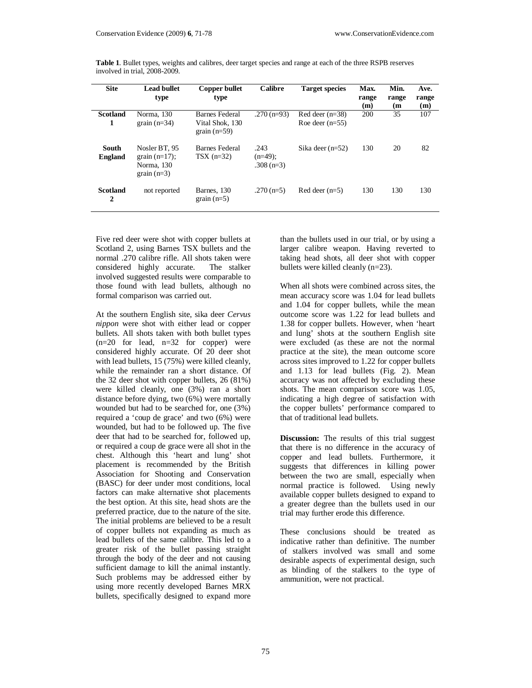| <b>Site</b>             | <b>Lead bullet</b><br>type                                       | <b>Copper bullet</b><br>type                        | <b>Calibre</b>                    | <b>Target species</b>                  | Max.<br>range<br>(m) | Min.<br>range<br>(m) | Ave.<br>range<br>(m) |
|-------------------------|------------------------------------------------------------------|-----------------------------------------------------|-----------------------------------|----------------------------------------|----------------------|----------------------|----------------------|
| <b>Scotland</b><br>1    | Norma, 130<br>grain $(n=34)$                                     | Barnes Federal<br>Vital Shok. 130<br>grain $(n=59)$ | $.270(n=93)$                      | Red deer $(n=38)$<br>Roe deer $(n=55)$ | 200                  | 35                   | 107                  |
| South<br><b>England</b> | Nosler BT, 95<br>grain $(n=17)$ :<br>Norma, 130<br>grain $(n=3)$ | Barnes Federal<br>$TSX$ (n=32)                      | .243<br>$(n=49)$ :<br>$.308(n=3)$ | Sika deer $(n=52)$                     | 130                  | 20                   | 82                   |
| <b>Scotland</b><br>2    | not reported                                                     | Barnes, 130<br>grain $(n=5)$                        | $.270(n=5)$                       | $Red$ deer $(n=5)$                     | 130                  | 130                  | 130                  |

**Table 1**. Bullet types, weights and calibres, deer target species and range at each of the three RSPB reserves involved in trial, 2008-2009.

Five red deer were shot with copper bullets at Scotland 2, using Barnes TSX bullets and the normal .270 calibre rifle. All shots taken were<br>considered highly accurate. The stalker considered highly accurate. involved suggested results were comparable to those found with lead bullets, although no formal comparison was carried out.

At the southern English site, sika deer *Cervus nippon* were shot with either lead or copper bullets. All shots taken with both bullet types  $(n=20$  for lead,  $n=32$  for copper) were considered highly accurate. Of 20 deer shot with lead bullets, 15 (75%) were killed cleanly, while the remainder ran a short distance. Of the 32 deer shot with copper bullets, 26 (81%) were killed cleanly, one (3%) ran a short distance before dying, two (6%) were mortally wounded but had to be searched for, one (3%) required a 'coup de grace' and two (6%) were wounded, but had to be followed up. The five deer that had to be searched for, followed up, or required a coup de grace were all shot in the chest. Although this 'heart and lung' shot placement is recommended by the British Association for Shooting and Conservation (BASC) for deer under most conditions, local factors can make alternative shot placements the best option. At this site, head shots are the preferred practice, due to the nature of the site. The initial problems are believed to be a result of copper bullets not expanding as much as lead bullets of the same calibre. This led to a greater risk of the bullet passing straight through the body of the deer and not causing sufficient damage to kill the animal instantly. Such problems may be addressed either by using more recently developed Barnes MRX bullets, specifically designed to expand more

than the bullets used in our trial, or by using a larger calibre weapon. Having reverted to taking head shots, all deer shot with copper bullets were killed cleanly (n=23).

When all shots were combined across sites, the mean accuracy score was 1.04 for lead bullets and 1.04 for copper bullets, while the mean outcome score was 1.22 for lead bullets and 1.38 for copper bullets. However, when 'heart and lung' shots at the southern English site were excluded (as these are not the normal practice at the site), the mean outcome score across sites improved to 1.22 for copper bullets and 1.13 for lead bullets (Fig. 2). Mean accuracy was not affected by excluding these shots. The mean comparison score was 1.05, indicating a high degree of satisfaction with the copper bullets' performance compared to that of traditional lead bullets.

**Discussion:** The results of this trial suggest that there is no difference in the accuracy of copper and lead bullets. Furthermore, it suggests that differences in killing power between the two are small, especially when normal practice is followed. Using newly available copper bullets designed to expand to a greater degree than the bullets used in our trial may further erode this difference.

These conclusions should be treated as indicative rather than definitive. The number of stalkers involved was small and some desirable aspects of experimental design, such as blinding of the stalkers to the type of ammunition, were not practical.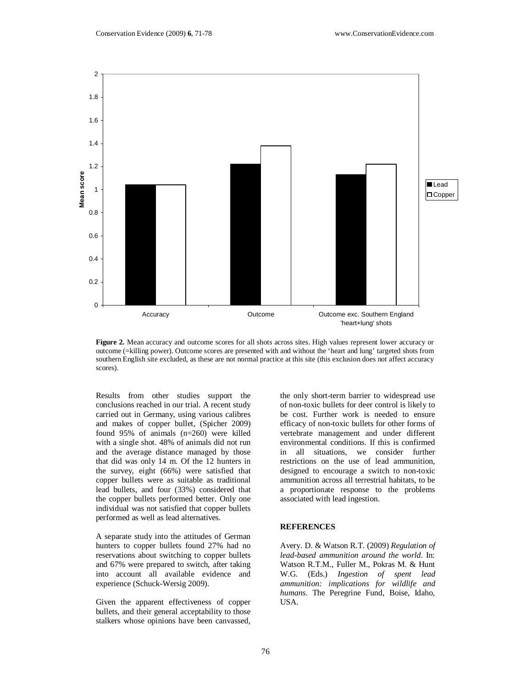

**Figure 2.** Mean accuracy and outcome scores for all shots across sites. High values represent lower accuracy or outcome (=killing power). Outcome scores are presented with and without the 'heart and lung' targeted shots from southern English site excluded, as these are not normal practice at this site (this exclusion does not affect accuracy scores).

Results from other studies support the conclusions reached in our trial. A recent study carried out in Germany, using various calibres and makes of copper bullet, (Spicher 2009) found 95% of animals (n=260) were killed with a single shot. 48% of animals did not run and the average distance managed by those that did was only 14 m. Of the 12 hunters in the survey, eight (66%) were satisfied that copper bullets were as suitable as traditional lead bullets, and four (33%) considered that the copper bullets performed better. Only one individual was not satisfied that copper bullets performed as well as lead alternatives.

A separate study into the attitudes of German hunters to copper bullets found 27% had no reservations about switching to copper bullets and 67% were prepared to switch, after taking into account all available evidence and experience (Schuck-Wersig 2009).

Given the apparent effectiveness of copper bullets, and their general acceptability to those stalkers whose opinions have been canvassed,

the only short-term barrier to widespread use of non-toxic bullets for deer control is likely to be cost. Further work is needed to ensure efficacy of non-toxic bullets for other forms of vertebrate management and under different environmental conditions. If this is confirmed in all situations, we consider further restrictions on the use of lead ammunition, designed to encourage a switch to non-toxic ammunition across all terrestrial habitats, to be a proportionate response to the problems associated with lead ingestion.

#### **REFERENCES**

Avery. D. & Watson R.T. (2009) *Regulation of lead-based ammunition around the world*. In: Watson R.T.M., Fuller M., Pokras M. & Hunt W.G. (Eds.) *Ingestion of spent lead ammunition: implications for wildlife and humans*. The Peregrine Fund, Boise, Idaho, USA.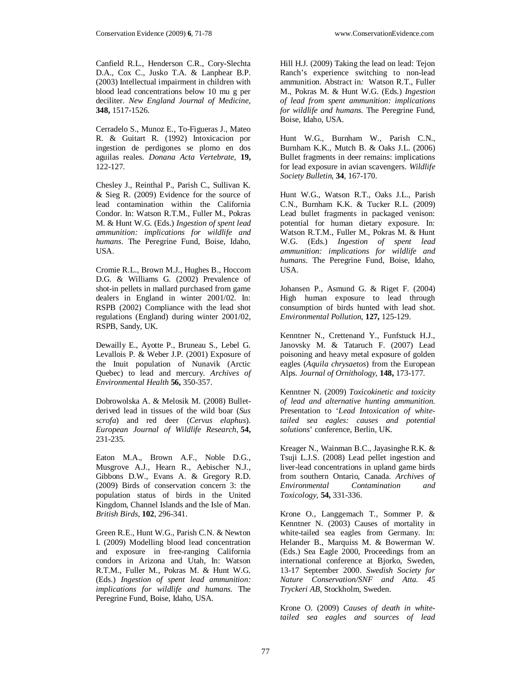Canfield R.L., Henderson C.R., Cory-Slechta D.A., Cox C., Jusko T.A. & Lanphear B.P. (2003) Intellectual impairment in children with blood lead concentrations below 10 mu g per deciliter. *New England Journal of Medicine*, **348,** 1517-1526.

Cerradelo S., Munoz E., To-Figueras J., Mateo R. & Guitart R. (1992) Intoxicacion por ingestion de perdigones se plomo en dos aguilas reales. *Donana Acta Vertebrate*, **19,** 122-127.

Chesley J., Reinthal P., Parish C., Sullivan K. & Sieg R. (2009) Evidence for the source of lead contamination within the California Condor. In: Watson R.T.M., Fuller M., Pokras M. & Hunt W.G. (Eds.) *Ingestion of spent lead ammunition: implications for wildlife and humans*. The Peregrine Fund, Boise, Idaho, USA.

Cromie R.L., Brown M.J., Hughes B., Hoccom D.G. & Williams G. (2002) Prevalence of shot-in pellets in mallard purchased from game dealers in England in winter 2001/02. In: RSPB (2002) Compliance with the lead shot regulations (England) during winter 2001/02, RSPB, Sandy, UK.

Dewailly E., Ayotte P., Bruneau S., Lebel G. Levallois P. & Weber J.P. (2001) Exposure of the Inuit population of Nunavik (Arctic Quebec) to lead and mercury. *Archives of Environmental Health* **56,** 350-357.

Dobrowolska A. & Melosik M. (2008) Bulletderived lead in tissues of the wild boar (*Sus scrofa*) and red deer (*Cervus elaphus*). *European Journal of Wildlife Research*, **54,** 231-235.

Eaton M.A., Brown A.F., Noble D.G., Musgrove A.J., Hearn R., Aebischer N.J., Gibbons D.W., Evans A. & Gregory R.D. (2009) Birds of conservation concern 3: the population status of birds in the United Kingdom, Channel Islands and the Isle of Man. *British Birds*, **102**, 296-341.

Green R.E., Hunt W.G., Parish C.N. & Newton I. (2009) Modelling blood lead concentration and exposure in free-ranging California condors in Arizona and Utah, In: Watson R.T.M., Fuller M., Pokras M. & Hunt W.G. (Eds.) *Ingestion of spent lead ammunition: implications for wildlife and humans*. The Peregrine Fund, Boise, Idaho, USA.

Hill H.J. (2009) Taking the lead on lead: Tejon Ranch's experience switching to non-lead ammunition. Abstract in*:* Watson R.T., Fuller M., Pokras M. & Hunt W.G. (Eds.) *Ingestion of lead from spent ammunition: implications for wildlife and humans*. The Peregrine Fund, Boise, Idaho, USA.

Hunt W.G., Burnham W., Parish C.N., Burnham K.K., Mutch B. & Oaks J.L. (2006) Bullet fragments in deer remains: implications for lead exposure in avian scavengers. *Wildlife Society Bulletin*, **34**, 167-170.

Hunt W.G., Watson R.T., Oaks J.L., Parish C.N., Burnham K.K. & Tucker R.L. (2009) Lead bullet fragments in packaged venison: potential for human dietary exposure. In: Watson R.T.M., Fuller M., Pokras M. & Hunt W.G. (Eds.) *Ingestion of spent lead ammunition: implications for wildlife and humans*. The Peregrine Fund, Boise, Idaho, USA.

Johansen P., Asmund G. & Riget F. (2004) High human exposure to lead through consumption of birds hunted with lead shot. *Environmental Pollution*, **127,** 125-129.

Kenntner N., Crettenand Y., Funfstuck H.J., Janovsky M. & Tataruch F. (2007) Lead poisoning and heavy metal exposure of golden eagles (*Aquila chrysaetos*) from the European Alps. *Journal of Ornithology*, **148,** 173-177.

Kenntner N. (2009) *Toxicokinetic and toxicity of lead and alternative hunting ammunition.* Presentation to '*Lead Intoxication of whitetailed sea eagles: causes and potential solutions*' conference, Berlin, UK.

Kreager N., Wainman B.C., Jayasinghe R.K. & Tsuji L.J.S. (2008) Lead pellet ingestion and liver-lead concentrations in upland game birds from southern Ontario, Canada. *Archives of Environmental Contamination and Toxicology*, **54,** 331-336.

Krone O., Langgemach T.*,* Sommer P. & Kenntner N. (2003) Causes of mortality in white-tailed sea eagles from Germany. In: Helander B., Marquiss M. & Bowerman W. (Eds.) Sea Eagle 2000, Proceedings from an international conference at Bjorko, Sweden, 13-17 September 2000. *Swedish Society for Nature Conservation/SNF and Atta. 45 Tryckeri AB*, Stockholm, Sweden.

Krone O. (2009) *Causes of death in whitetailed sea eagles and sources of lead*